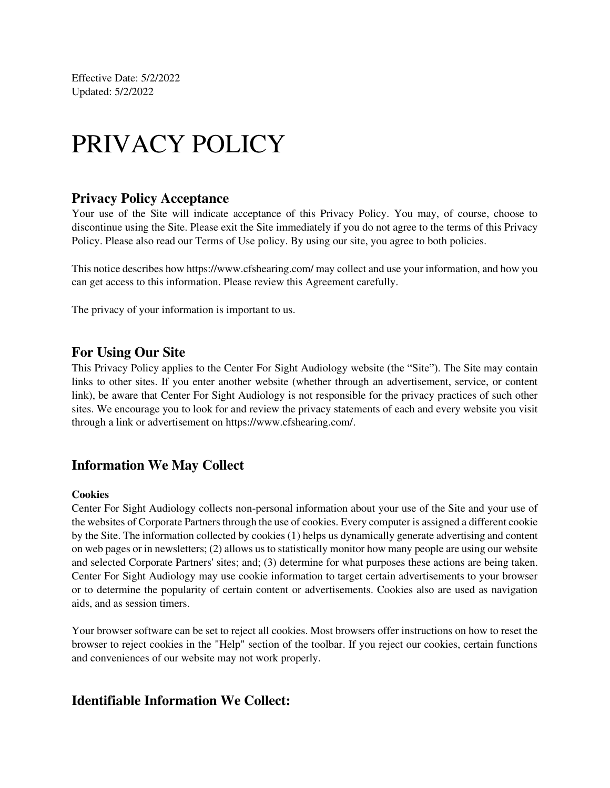Effective Date: 5/2/2022 Updated: 5/2/2022

# PRIVACY POLICY

#### **Privacy Policy Acceptance**

Your use of the Site will indicate acceptance of this Privacy Policy. You may, of course, choose to discontinue using the Site. Please exit the Site immediately if you do not agree to the terms of this Privacy Policy. Please also read our Terms of Use policy. By using our site, you agree to both policies.

This notice describes how https://www.cfshearing.com/ may collect and use your information, and how you can get access to this information. Please review this Agreement carefully.

The privacy of your information is important to us.

#### **For Using Our Site**

This Privacy Policy applies to the Center For Sight Audiology website (the "Site"). The Site may contain links to other sites. If you enter another website (whether through an advertisement, service, or content link), be aware that Center For Sight Audiology is not responsible for the privacy practices of such other sites. We encourage you to look for and review the privacy statements of each and every website you visit through a link or advertisement on https://www.cfshearing.com/.

### **Information We May Collect**

#### **Cookies**

Center For Sight Audiology collects non-personal information about your use of the Site and your use of the websites of Corporate Partners through the use of cookies. Every computer is assigned a different cookie by the Site. The information collected by cookies (1) helps us dynamically generate advertising and content on web pages or in newsletters; (2) allows us to statistically monitor how many people are using our website and selected Corporate Partners' sites; and; (3) determine for what purposes these actions are being taken. Center For Sight Audiology may use cookie information to target certain advertisements to your browser or to determine the popularity of certain content or advertisements. Cookies also are used as navigation aids, and as session timers.

Your browser software can be set to reject all cookies. Most browsers offer instructions on how to reset the browser to reject cookies in the "Help" section of the toolbar. If you reject our cookies, certain functions and conveniences of our website may not work properly.

#### **Identifiable Information We Collect:**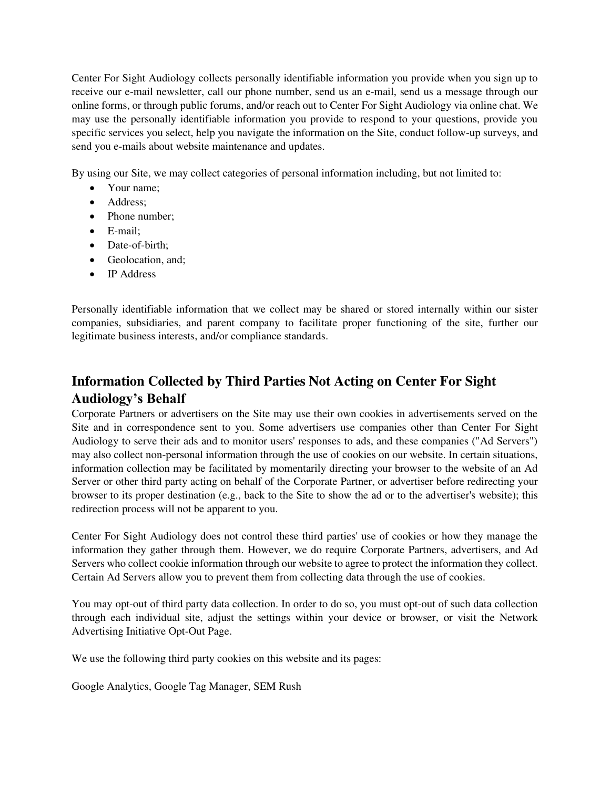Center For Sight Audiology collects personally identifiable information you provide when you sign up to receive our e-mail newsletter, call our phone number, send us an e-mail, send us a message through our online forms, or through public forums, and/or reach out to Center For Sight Audiology via online chat. We may use the personally identifiable information you provide to respond to your questions, provide you specific services you select, help you navigate the information on the Site, conduct follow-up surveys, and send you e-mails about website maintenance and updates.

By using our Site, we may collect categories of personal information including, but not limited to:

- Your name:
- Address;
- Phone number;
- E-mail;
- Date-of-birth:
- Geolocation, and;
- IP Address

Personally identifiable information that we collect may be shared or stored internally within our sister companies, subsidiaries, and parent company to facilitate proper functioning of the site, further our legitimate business interests, and/or compliance standards.

## **Information Collected by Third Parties Not Acting on Center For Sight Audiology's Behalf**

Corporate Partners or advertisers on the Site may use their own cookies in advertisements served on the Site and in correspondence sent to you. Some advertisers use companies other than Center For Sight Audiology to serve their ads and to monitor users' responses to ads, and these companies ("Ad Servers") may also collect non-personal information through the use of cookies on our website. In certain situations, information collection may be facilitated by momentarily directing your browser to the website of an Ad Server or other third party acting on behalf of the Corporate Partner, or advertiser before redirecting your browser to its proper destination (e.g., back to the Site to show the ad or to the advertiser's website); this redirection process will not be apparent to you.

Center For Sight Audiology does not control these third parties' use of cookies or how they manage the information they gather through them. However, we do require Corporate Partners, advertisers, and Ad Servers who collect cookie information through our website to agree to protect the information they collect. Certain Ad Servers allow you to prevent them from collecting data through the use of cookies.

You may opt-out of third party data collection. In order to do so, you must opt-out of such data collection through each individual site, adjust the settings within your device or browser, or visit the Network Advertising Initiative Opt-Out Page.

We use the following third party cookies on this website and its pages:

Google Analytics, Google Tag Manager, SEM Rush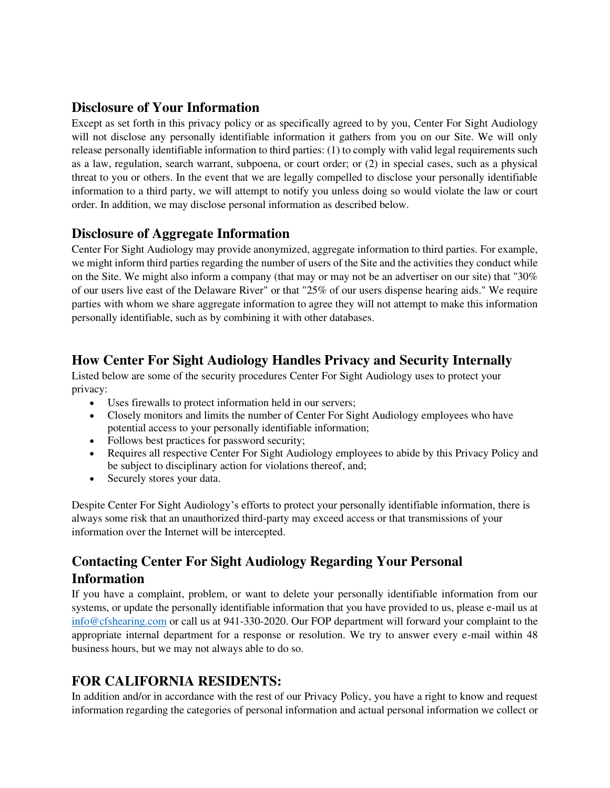## **Disclosure of Your Information**

Except as set forth in this privacy policy or as specifically agreed to by you, Center For Sight Audiology will not disclose any personally identifiable information it gathers from you on our Site. We will only release personally identifiable information to third parties: (1) to comply with valid legal requirements such as a law, regulation, search warrant, subpoena, or court order; or (2) in special cases, such as a physical threat to you or others. In the event that we are legally compelled to disclose your personally identifiable information to a third party, we will attempt to notify you unless doing so would violate the law or court order. In addition, we may disclose personal information as described below.

## **Disclosure of Aggregate Information**

Center For Sight Audiology may provide anonymized, aggregate information to third parties. For example, we might inform third parties regarding the number of users of the Site and the activities they conduct while on the Site. We might also inform a company (that may or may not be an advertiser on our site) that "30% of our users live east of the Delaware River" or that "25% of our users dispense hearing aids." We require parties with whom we share aggregate information to agree they will not attempt to make this information personally identifiable, such as by combining it with other databases.

## **How Center For Sight Audiology Handles Privacy and Security Internally**

Listed below are some of the security procedures Center For Sight Audiology uses to protect your privacy:

- Uses firewalls to protect information held in our servers;
- Closely monitors and limits the number of Center For Sight Audiology employees who have potential access to your personally identifiable information;
- Follows best practices for password security;
- Requires all respective Center For Sight Audiology employees to abide by this Privacy Policy and be subject to disciplinary action for violations thereof, and;
- Securely stores your data.

Despite Center For Sight Audiology's efforts to protect your personally identifiable information, there is always some risk that an unauthorized third-party may exceed access or that transmissions of your information over the Internet will be intercepted.

# **Contacting Center For Sight Audiology Regarding Your Personal Information**

If you have a complaint, problem, or want to delete your personally identifiable information from our systems, or update the personally identifiable information that you have provided to us, please e-mail us at [info@cfshearing.com](mailto:info@cfshearing.com) or call us at 941-330-2020. Our FOP department will forward your complaint to the appropriate internal department for a response or resolution. We try to answer every e-mail within 48 business hours, but we may not always able to do so.

## **FOR CALIFORNIA RESIDENTS:**

In addition and/or in accordance with the rest of our Privacy Policy, you have a right to know and request information regarding the categories of personal information and actual personal information we collect or